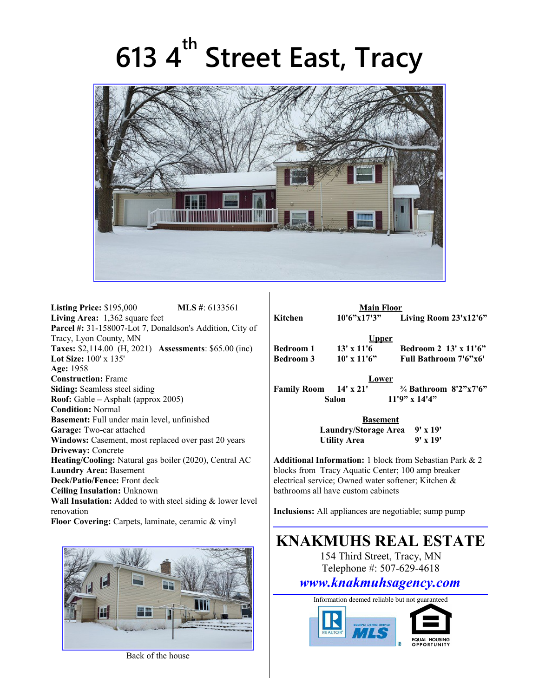## **613 4th Street East, Tracy**



**Listing Price:** \$195,000 **MLS #**: 6133561 **Living Area:** 1,362 square feet **Parcel #:** 31-158007-Lot 7, Donaldson's Addition, City of Tracy, Lyon County, MN **Taxes:** \$2,114.00 (H, 2021) **Assessments**: \$65.00 (inc) **Lot Size:** 100' x 135' **Age:** 1958 **Construction:** Frame **Siding:** Seamless steel siding **Roof:** Gable **–** Asphalt (approx 2005) **Condition:** Normal **Basement:** Full under main level, unfinished **Garage:** Two**-**car attached **Windows:** Casement, most replaced over past 20 years **Driveway:** Concrete **Heating/Cooling:** Natural gas boiler (2020), Central AC **Laundry Area:** Basement **Deck/Patio/Fence:** Front deck **Ceiling Insulation:** Unknown **Wall Insulation:** Added to with steel siding & lower level renovation **Floor Covering:** Carpets, laminate, ceramic & vinyl



Back of the house

|                       | <b>Main Floor</b> |                                  |
|-----------------------|-------------------|----------------------------------|
| Kitchen               | 10'6''x17'3''     | Living Room 23'x12'6"            |
|                       | <u>Upper</u>      |                                  |
| Bedroom 1             | $13' \times 11'6$ | Bedroom 2 13' x 11'6"            |
| Bedroom 3             | $10'$ x $11'6"$   | Full Bathroom 7'6"x6'            |
|                       | Lower             |                                  |
| Family Room 14' x 21' |                   | $\frac{3}{4}$ Bathroom 8'2"x7'6" |
| Salon                 |                   | $11'9''$ x $14'4''$              |
|                       | <b>Basement</b>   |                                  |
|                       |                   | Laundry/Storogo Aroo - 0' v 10'  |

**Laundry/Storage Area Utility Area 9' x 19'**

**Additional Information:** 1 block from Sebastian Park & 2 blocks from Tracy Aquatic Center; 100 amp breaker electrical service; Owned water softener; Kitchen & bathrooms all have custom cabinets

**Inclusions:** All appliances are negotiable; sump pump

## **KNAKMUHS REAL ESTATE**

154 Third Street, Tracy, MN Telephone #: 507-629-4618

## *www.knakmuhsagency.com*

Information deemed reliable but not guaranteed